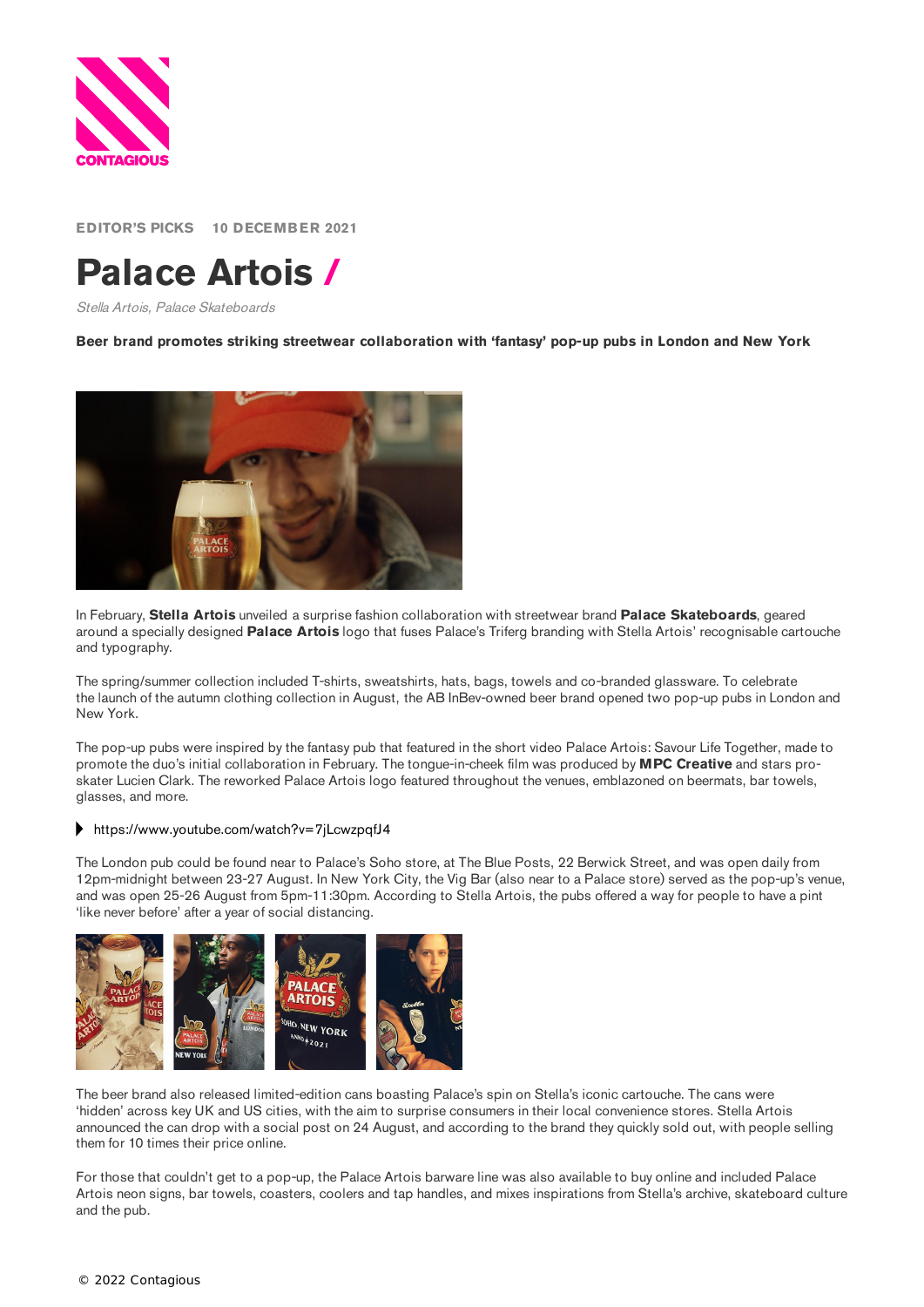

**EDITOR'S PICKS 10 DECEMBER 2021**

## **Palace Artois /**

Stella Artois, Palace Skateboards

**Beer brand promotes striking streetwear collaboration with 'fantasy' pop-up pubs in London and New York**



In February, **Stella Artois** unveiled a surprise fashion collaboration with streetwear brand **Palace Skateboards**, geared around a specially designed **Palace Artois** logo that fuses Palace's Triferg branding with Stella Artois' recognisable cartouche and typography.

The spring/summer collection included T-shirts, sweatshirts, hats, bags, towels and co-branded glassware. To celebrate the launch of the autumn clothing collection in August, the AB InBev-owned beer brand opened two pop-up pubs in London and New York.

The pop-up pubs were inspired by the fantasy pub that featured in the short video Palace Artois: Savour Life Together, made to promote the duo's initial collaboration in February. The tongue-in-cheek film was produced by **MPC Creative** and stars proskater Lucien Clark. The reworked Palace Artois logo featured throughout the venues, emblazoned on beermats, bar towels, glasses, and more.

## <https://www.youtube.com/watch?v=7jLcwzpqfJ4>

The London pub could be found near to Palace's Soho store, at The Blue Posts, 22 Berwick Street, and was open daily from 12pm-midnight between 23-27 August. In New York City, the Vig Bar (also near to a Palace store) served as the pop-up's venue, and was open 25-26 August from 5pm-11:30pm. According to Stella Artois, the pubs offered a way for people to have a pint 'like never before' after a year of social distancing.



The beer brand also released limited-edition cans boasting Palace's spin on Stella's iconic cartouche. The cans were 'hidden' across key UK and US cities, with the aim to surprise consumers in their local convenience stores. Stella Artois announced the can drop with a social post on 24 August, and according to the brand they quickly sold out, with people selling them for 10 times their price online.

For those that couldn't get to a pop-up, the Palace Artois barware line was also available to buy online and included Palace Artois neon signs, bar towels, coasters, coolers and tap handles, and mixes inspirations from Stella's archive, skateboard culture and the pub.